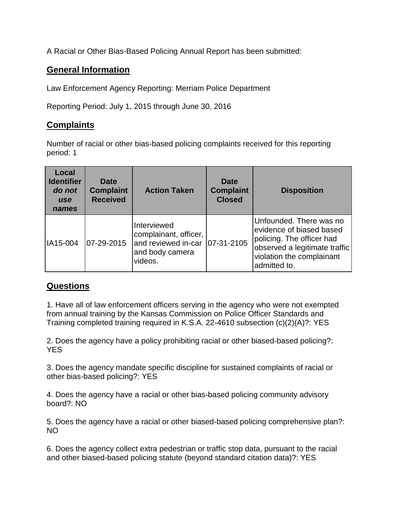A Racial or Other Bias-Based Policing Annual Report has been submitted:

## **General Information**

Law Enforcement Agency Reporting: Merriam Police Department

Reporting Period: July 1, 2015 through June 30, 2016

## **Complaints**

Number of racial or other bias-based policing complaints received for this reporting period: 1

| Local<br><b>Identifier</b><br>do not<br><b>use</b><br>names | <b>Date</b><br><b>Complaint</b><br><b>Received</b> | <b>Action Taken</b>                                                                       | <b>Date</b><br><b>Complaint</b><br><b>Closed</b> | <b>Disposition</b>                                                                                                                                             |
|-------------------------------------------------------------|----------------------------------------------------|-------------------------------------------------------------------------------------------|--------------------------------------------------|----------------------------------------------------------------------------------------------------------------------------------------------------------------|
| IA15-004                                                    | 07-29-2015                                         | Interviewed<br>complainant, officer,<br>and reviewed in-car<br>and body camera<br>videos. | 07-31-2105                                       | Unfounded. There was no<br>evidence of biased based<br>policing. The officer had<br>observed a legitimate traffic<br>violation the complainant<br>admitted to. |

## **Questions**

1. Have all of law enforcement officers serving in the agency who were not exempted from annual training by the Kansas Commission on Police Officer Standards and Training completed training required in K.S.A. 22-4610 subsection (c)(2)(A)?: YES

2. Does the agency have a policy prohibiting racial or other biased-based policing?: YES

3. Does the agency mandate specific discipline for sustained complaints of racial or other bias-based policing?: YES

4. Does the agency have a racial or other bias-based policing community advisory board?: NO

5. Does the agency have a racial or other biased-based policing comprehensive plan?: NO

6. Does the agency collect extra pedestrian or traffic stop data, pursuant to the racial and other biased-based policing statute (beyond standard citation data)?: YES